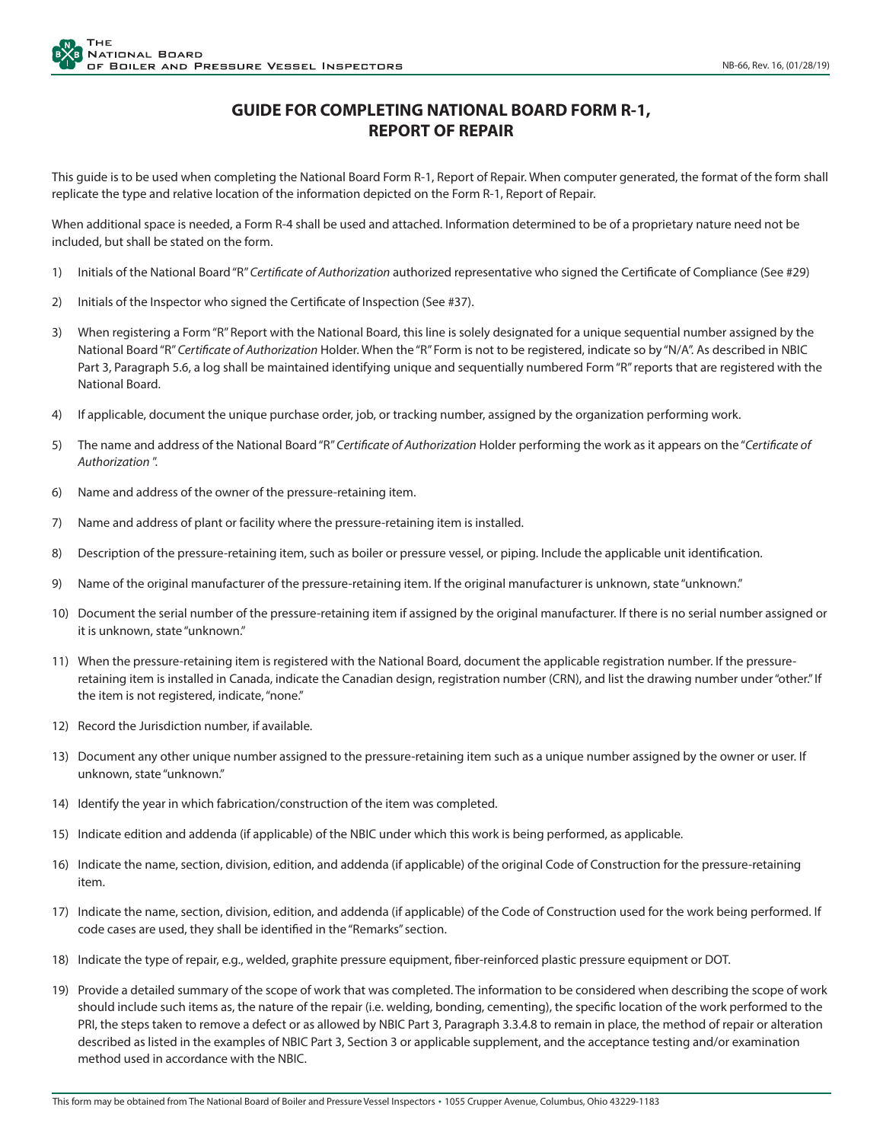## **GUIDE FOR COMPLETING NATIONAL BOARD FORM R-1, REPORT OF REPAIR**

This guide is to be used when completing the National Board Form R-1, Report of Repair. When computer generated, the format of the form shall replicate the type and relative location of the information depicted on the Form R-1, Report of Repair.

When additional space is needed, a Form R-4 shall be used and attached. Information determined to be of a proprietary nature need not be included, but shall be stated on the form.

- 1) Initials of the National Board "R" *Certificate of Authorization* authorized representative who signed the Certificate of Compliance (See #29)
- 2) Initials of the Inspector who signed the Certificate of Inspection (See #37).
- 3) When registering a Form "R" Report with the National Board, this line is solely designated for a unique sequential number assigned by the National Board "R" *Certificate of Authorization* Holder. When the "R" Form is not to be registered, indicate so by "N/A". As described in NBIC Part 3, Paragraph 5.6, a log shall be maintained identifying unique and sequentially numbered Form "R" reports that are registered with the National Board.
- 4) If applicable, document the unique purchase order, job, or tracking number, assigned by the organization performing work.
- 5) The name and address of the National Board "R" *Certificate of Authorization* Holder performing the work as it appears on the "*Certificate of Authorization* ".
- 6) Name and address of the owner of the pressure-retaining item.
- 7) Name and address of plant or facility where the pressure-retaining item is installed.
- 8) Description of the pressure-retaining item, such as boiler or pressure vessel, or piping. Include the applicable unit identification.
- 9) Name of the original manufacturer of the pressure-retaining item. If the original manufacturer is unknown, state "unknown."
- 10) Document the serial number of the pressure-retaining item if assigned by the original manufacturer. If there is no serial number assigned or it is unknown, state "unknown."
- 11) When the pressure-retaining item is registered with the National Board, document the applicable registration number. If the pressureretaining item is installed in Canada, indicate the Canadian design, registration number (CRN), and list the drawing number under "other." If the item is not registered, indicate, "none."
- 12) Record the Jurisdiction number, if available.
- 13) Document any other unique number assigned to the pressure-retaining item such as a unique number assigned by the owner or user. If unknown, state "unknown."
- 14) Identify the year in which fabrication/construction of the item was completed.
- 15) Indicate edition and addenda (if applicable) of the NBIC under which this work is being performed, as applicable.
- 16) Indicate the name, section, division, edition, and addenda (if applicable) of the original Code of Construction for the pressure-retaining item.
- 17) Indicate the name, section, division, edition, and addenda (if applicable) of the Code of Construction used for the work being performed. If code cases are used, they shall be identified in the "Remarks" section.
- 18) Indicate the type of repair, e.g., welded, graphite pressure equipment, fiber-reinforced plastic pressure equipment or DOT.
- 19) Provide a detailed summary of the scope of work that was completed. The information to be considered when describing the scope of work should include such items as, the nature of the repair (i.e. welding, bonding, cementing), the specific location of the work performed to the PRI, the steps taken to remove a defect or as allowed by NBIC Part 3, Paragraph 3.3.4.8 to remain in place, the method of repair or alteration described as listed in the examples of NBIC Part 3, Section 3 or applicable supplement, and the acceptance testing and/or examination method used in accordance with the NBIC.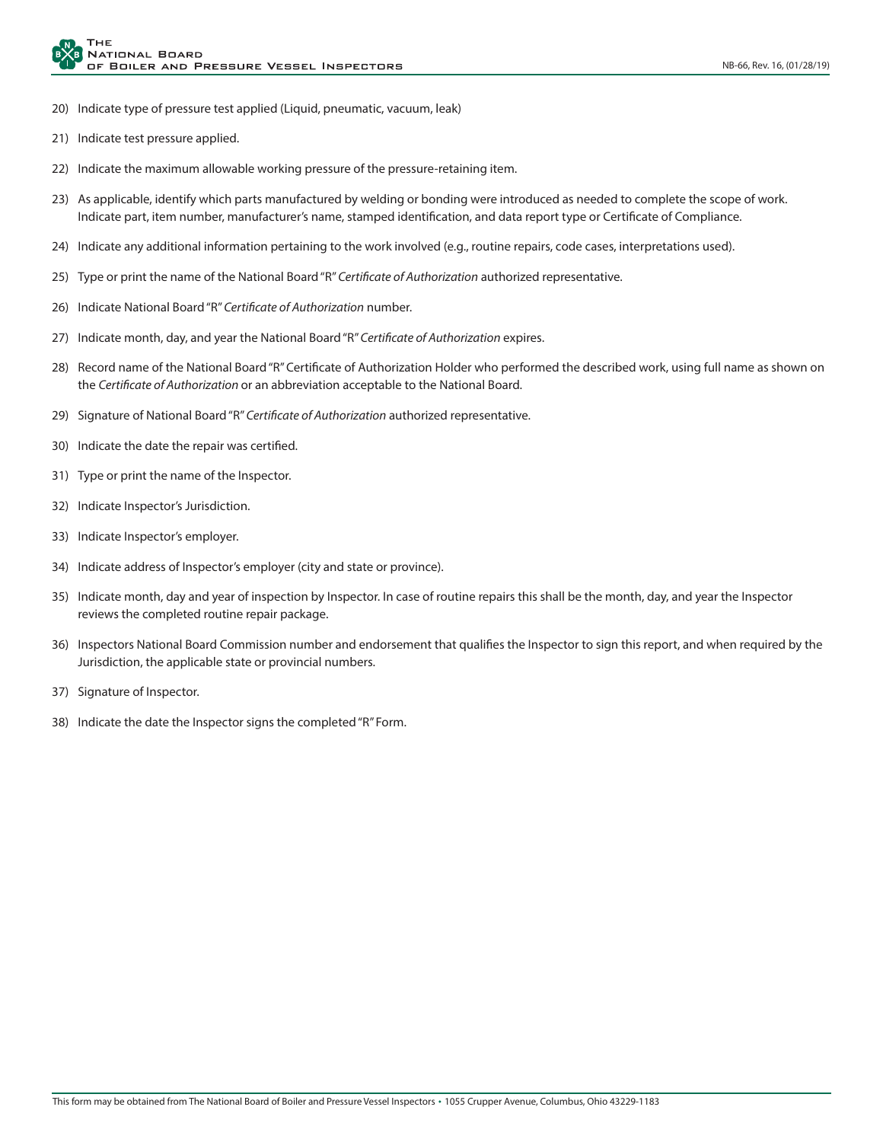- 20) Indicate type of pressure test applied (Liquid, pneumatic, vacuum, leak)
- 21) Indicate test pressure applied.
- 22) Indicate the maximum allowable working pressure of the pressure-retaining item.
- 23) As applicable, identify which parts manufactured by welding or bonding were introduced as needed to complete the scope of work. Indicate part, item number, manufacturer's name, stamped identification, and data report type or Certificate of Compliance.
- 24) Indicate any additional information pertaining to the work involved (e.g., routine repairs, code cases, interpretations used).
- 25) Type or print the name of the National Board "R" *Certificate of Authorization* authorized representative.
- 26) Indicate National Board "R" *Certificate of Authorization* number.
- 27) Indicate month, day, and year the National Board "R" *Certificate of Authorization* expires.
- 28) Record name of the National Board "R" Certificate of Authorization Holder who performed the described work, using full name as shown on the *Certificate of Authorization* or an abbreviation acceptable to the National Board.
- 29) Signature of National Board "R" *Certificate of Authorization* authorized representative.
- 30) Indicate the date the repair was certified.
- 31) Type or print the name of the Inspector.
- 32) Indicate Inspector's Jurisdiction.
- 33) Indicate Inspector's employer.
- 34) Indicate address of Inspector's employer (city and state or province).
- 35) Indicate month, day and year of inspection by Inspector. In case of routine repairs this shall be the month, day, and year the Inspector reviews the completed routine repair package.
- 36) Inspectors National Board Commission number and endorsement that qualifies the Inspector to sign this report, and when required by the Jurisdiction, the applicable state or provincial numbers.
- 37) Signature of Inspector.
- 38) Indicate the date the Inspector signs the completed "R" Form.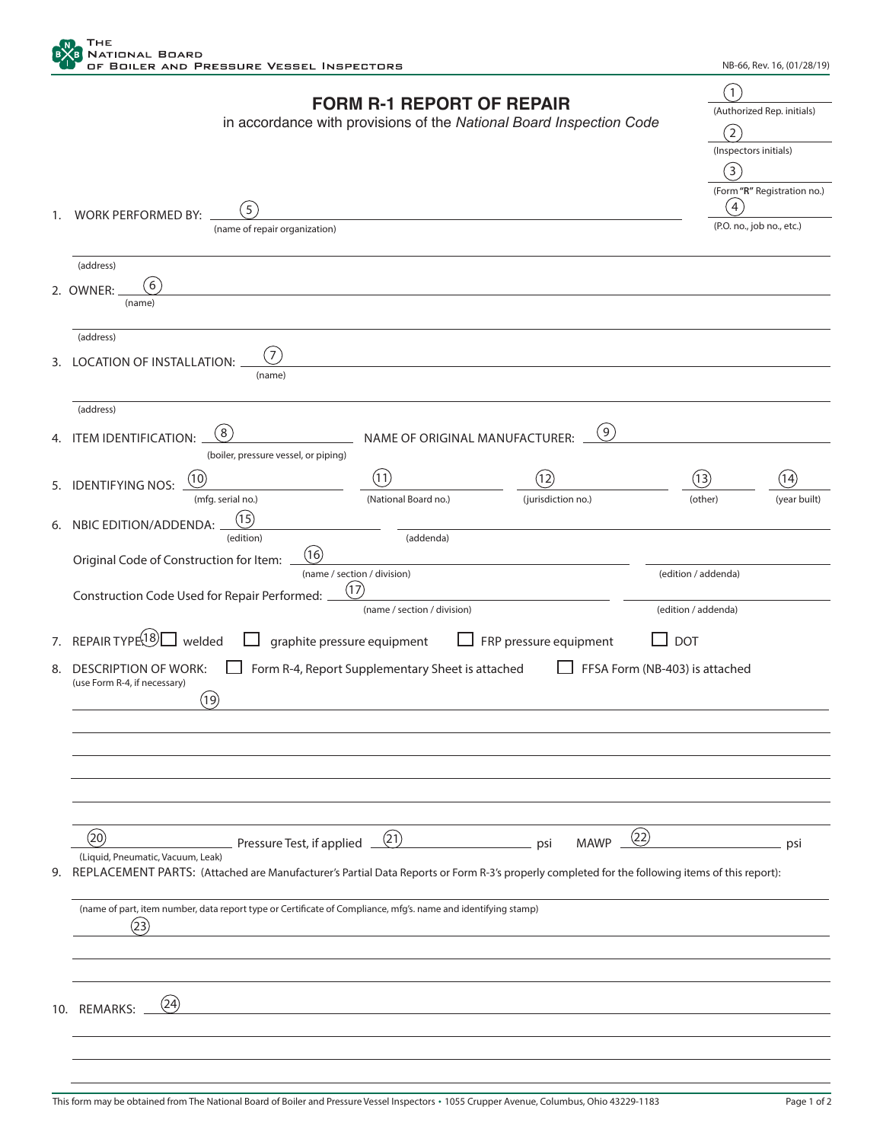

|    |                                                                                                                                                | <b>FORM R-1 REPORT OF REPAIR</b> |                                                                     | $\left(1\right)$      |                             |  |
|----|------------------------------------------------------------------------------------------------------------------------------------------------|----------------------------------|---------------------------------------------------------------------|-----------------------|-----------------------------|--|
|    |                                                                                                                                                |                                  | in accordance with provisions of the National Board Inspection Code |                       | (Authorized Rep. initials)  |  |
|    |                                                                                                                                                |                                  |                                                                     | $\left( 2\right)$     |                             |  |
|    |                                                                                                                                                |                                  |                                                                     | (Inspectors initials) |                             |  |
|    |                                                                                                                                                |                                  |                                                                     | (3)                   |                             |  |
|    |                                                                                                                                                |                                  |                                                                     | 4                     | (Form "R" Registration no.) |  |
| 1. | $5^{\degree}$<br><b>WORK PERFORMED BY:</b>                                                                                                     |                                  |                                                                     |                       | (P.O. no., job no., etc.)   |  |
|    | (name of repair organization)                                                                                                                  |                                  |                                                                     |                       |                             |  |
|    | (address)                                                                                                                                      |                                  |                                                                     |                       |                             |  |
|    | 6<br>2. OWNER:                                                                                                                                 |                                  |                                                                     |                       |                             |  |
|    | (name)                                                                                                                                         |                                  |                                                                     |                       |                             |  |
|    | (address)                                                                                                                                      |                                  |                                                                     |                       |                             |  |
|    | 7                                                                                                                                              |                                  |                                                                     |                       |                             |  |
| 3. | LOCATION OF INSTALLATION:<br>(name)                                                                                                            |                                  |                                                                     |                       |                             |  |
|    | (address)                                                                                                                                      |                                  |                                                                     |                       |                             |  |
|    | (8)                                                                                                                                            |                                  | (9)                                                                 |                       |                             |  |
| 4. | <b>ITEM IDENTIFICATION:</b><br>(boiler, pressure vessel, or piping)                                                                            | NAME OF ORIGINAL MANUFACTURER:   |                                                                     |                       |                             |  |
|    | (10)                                                                                                                                           | (11)                             | (12)                                                                | (13)                  | (14)                        |  |
| 5. | <b>IDENTIFYING NOS:</b><br>(mfg. serial no.)                                                                                                   | (National Board no.)             | (jurisdiction no.)                                                  | (other)               | (year built)                |  |
|    | (15)                                                                                                                                           |                                  |                                                                     |                       |                             |  |
| 6. | NBIC EDITION/ADDENDA:<br>(edition)                                                                                                             | (addenda)                        |                                                                     |                       |                             |  |
|    | (16)<br>Original Code of Construction for Item:                                                                                                |                                  |                                                                     |                       |                             |  |
|    |                                                                                                                                                | (name / section / division)      |                                                                     | (edition / addenda)   |                             |  |
|    | Construction Code Used for Repair Performed:                                                                                                   | (17)                             |                                                                     |                       |                             |  |
|    |                                                                                                                                                | (name / section / division)      |                                                                     | (edition / addenda)   |                             |  |
| 7. | REPAIR TYPE $^{18}$ Welded                                                                                                                     | graphite pressure equipment      | FRP pressure equipment                                              | <b>DOT</b>            |                             |  |
| 8. | Form R-4, Report Supplementary Sheet is attached<br>FFSA Form (NB-403) is attached<br><b>DESCRIPTION OF WORK:</b>                              |                                  |                                                                     |                       |                             |  |
|    | (use Form R-4, if necessary)                                                                                                                   |                                  |                                                                     |                       |                             |  |
|    | (19)                                                                                                                                           |                                  |                                                                     |                       |                             |  |
|    |                                                                                                                                                |                                  |                                                                     |                       |                             |  |
|    |                                                                                                                                                |                                  |                                                                     |                       |                             |  |
|    |                                                                                                                                                |                                  |                                                                     |                       |                             |  |
|    |                                                                                                                                                |                                  |                                                                     |                       |                             |  |
|    |                                                                                                                                                |                                  |                                                                     |                       |                             |  |
|    | (20)<br>Pressure Test, if applied _                                                                                                            | (21)                             | (22)<br><b>MAWP</b><br>psi                                          |                       | psi                         |  |
|    | (Liquid, Pneumatic, Vacuum, Leak)                                                                                                              |                                  |                                                                     |                       |                             |  |
| 9. | REPLACEMENT PARTS: (Attached are Manufacturer's Partial Data Reports or Form R-3's properly completed for the following items of this report): |                                  |                                                                     |                       |                             |  |
|    | (name of part, item number, data report type or Certificate of Compliance, mfg's. name and identifying stamp)                                  |                                  |                                                                     |                       |                             |  |
|    | (23)                                                                                                                                           |                                  |                                                                     |                       |                             |  |
|    |                                                                                                                                                |                                  |                                                                     |                       |                             |  |
|    |                                                                                                                                                |                                  |                                                                     |                       |                             |  |
|    | (24)                                                                                                                                           |                                  |                                                                     |                       |                             |  |
|    | 10. REMARKS:                                                                                                                                   |                                  |                                                                     |                       |                             |  |
|    |                                                                                                                                                |                                  |                                                                     |                       |                             |  |
|    |                                                                                                                                                |                                  |                                                                     |                       |                             |  |